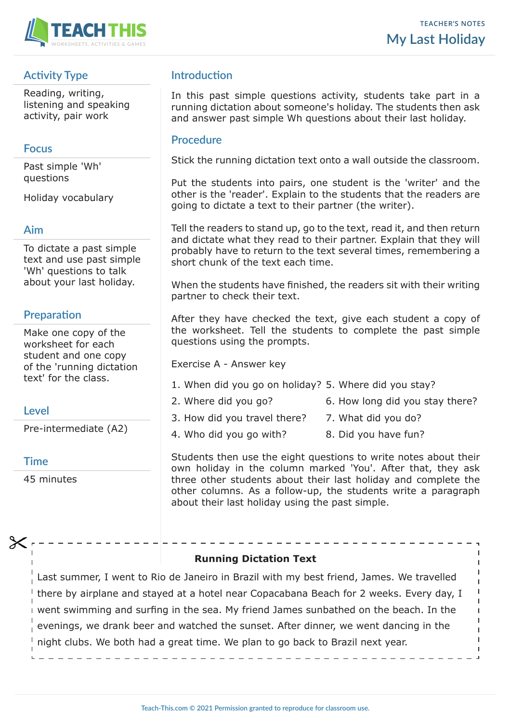

# **Activity Type**

Reading, writing, listening and speaking activity, pair work

## **Focus**

Past simple 'Wh' questions

Holiday vocabulary

### **Aim**

To dictate a past simple text and use past simple 'Wh' questions to talk about your last holiday.

# **Preparation**

Make one copy of the worksheet for each student and one copy of the 'running dictation text' for the class.

## **Level**

Pre-intermediate (A2)

#### **Time**

45 minutes

# **Introduction**

In this past simple questions activity, students take part in a running dictation about someone's holiday. The students then ask and answer past simple Wh questions about their last holiday.

### **Procedure**

Stick the running dictation text onto a wall outside the classroom.

Put the students into pairs, one student is the 'writer' and the other is the 'reader'. Explain to the students that the readers are going to dictate a text to their partner (the writer).

Tell the readers to stand up, go to the text, read it, and then return and dictate what they read to their partner. Explain that they will probably have to return to the text several times, remembering a short chunk of the text each time.

When the students have finished, the readers sit with their writing partner to check their text.

After they have checked the text, give each student a copy of the worksheet. Tell the students to complete the past simple questions using the prompts.

Exercise A - Answer key

- 1. When did you go on holiday? 5. Where did you stay?
- 2. Where did you go? 6. How long did you stay there?
	-
- 3. How did you travel there? 7. What did you do?
- 4. Who did you go with? 8. Did you have fun?

Students then use the eight questions to write notes about their own holiday in the column marked 'You'. After that, they ask three other students about their last holiday and complete the other columns. As a follow-up, the students write a paragraph about their last holiday using the past simple.

#### **Running Dictation Text**

Last summer, I went to Rio de Janeiro in Brazil with my best friend, James. We travelled there by airplane and stayed at a hotel near Copacabana Beach for 2 weeks. Every day, I went swimming and surfing in the sea. My friend James sunbathed on the beach. In the evenings, we drank beer and watched the sunset. After dinner, we went dancing in the night clubs. We both had a great time. We plan to go back to Brazil next year.